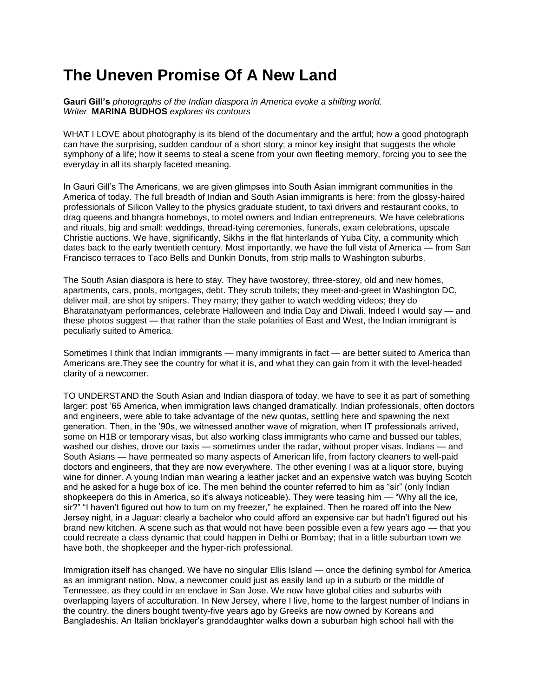## **The Uneven Promise Of A New Land**

**Gauri Gill's** *photographs of the Indian diaspora in America evoke a shifting world. Writer* **MARINA BUDHOS** *explores its contours*

WHAT I LOVE about photography is its blend of the documentary and the artful; how a good photograph can have the surprising, sudden candour of a short story; a minor key insight that suggests the whole symphony of a life; how it seems to steal a scene from your own fleeting memory, forcing you to see the everyday in all its sharply faceted meaning.

In Gauri Gill's The Americans, we are given glimpses into South Asian immigrant communities in the America of today. The full breadth of Indian and South Asian immigrants is here: from the glossy-haired professionals of Silicon Valley to the physics graduate student, to taxi drivers and restaurant cooks, to drag queens and bhangra homeboys, to motel owners and Indian entrepreneurs. We have celebrations and rituals, big and small: weddings, thread-tying ceremonies, funerals, exam celebrations, upscale Christie auctions. We have, significantly, Sikhs in the flat hinterlands of Yuba City, a community which dates back to the early twentieth century. Most importantly, we have the full vista of America — from San Francisco terraces to Taco Bells and Dunkin Donuts, from strip malls to Washington suburbs.

The South Asian diaspora is here to stay. They have twostorey, three-storey, old and new homes, apartments, cars, pools, mortgages, debt. They scrub toilets; they meet-and-greet in Washington DC, deliver mail, are shot by snipers. They marry; they gather to watch wedding videos; they do Bharatanatyam performances, celebrate Halloween and India Day and Diwali. Indeed I would say — and these photos suggest — that rather than the stale polarities of East and West, the Indian immigrant is peculiarly suited to America.

Sometimes I think that Indian immigrants — many immigrants in fact — are better suited to America than Americans are.They see the country for what it is, and what they can gain from it with the level-headed clarity of a newcomer.

TO UNDERSTAND the South Asian and Indian diaspora of today, we have to see it as part of something larger: post '65 America, when immigration laws changed dramatically. Indian professionals, often doctors and engineers, were able to take advantage of the new quotas, settling here and spawning the next generation. Then, in the '90s, we witnessed another wave of migration, when IT professionals arrived, some on H1B or temporary visas, but also working class immigrants who came and bussed our tables, washed our dishes, drove our taxis — sometimes under the radar, without proper visas. Indians — and South Asians — have permeated so many aspects of American life, from factory cleaners to well-paid doctors and engineers, that they are now everywhere. The other evening I was at a liquor store, buying wine for dinner. A young Indian man wearing a leather jacket and an expensive watch was buying Scotch and he asked for a huge box of ice. The men behind the counter referred to him as "sir" (only Indian shopkeepers do this in America, so it's always noticeable). They were teasing him — "Why all the ice, sir?" "I haven't figured out how to turn on my freezer," he explained. Then he roared off into the New Jersey night, in a Jaguar: clearly a bachelor who could afford an expensive car but hadn't figured out his brand new kitchen. A scene such as that would not have been possible even a few years ago — that you could recreate a class dynamic that could happen in Delhi or Bombay; that in a little suburban town we have both, the shopkeeper and the hyper-rich professional.

Immigration itself has changed. We have no singular Ellis Island — once the defining symbol for America as an immigrant nation. Now, a newcomer could just as easily land up in a suburb or the middle of Tennessee, as they could in an enclave in San Jose. We now have global cities and suburbs with overlapping layers of acculturation. In New Jersey, where I live, home to the largest number of Indians in the country, the diners bought twenty-five years ago by Greeks are now owned by Koreans and Bangladeshis. An Italian bricklayer's granddaughter walks down a suburban high school hall with the